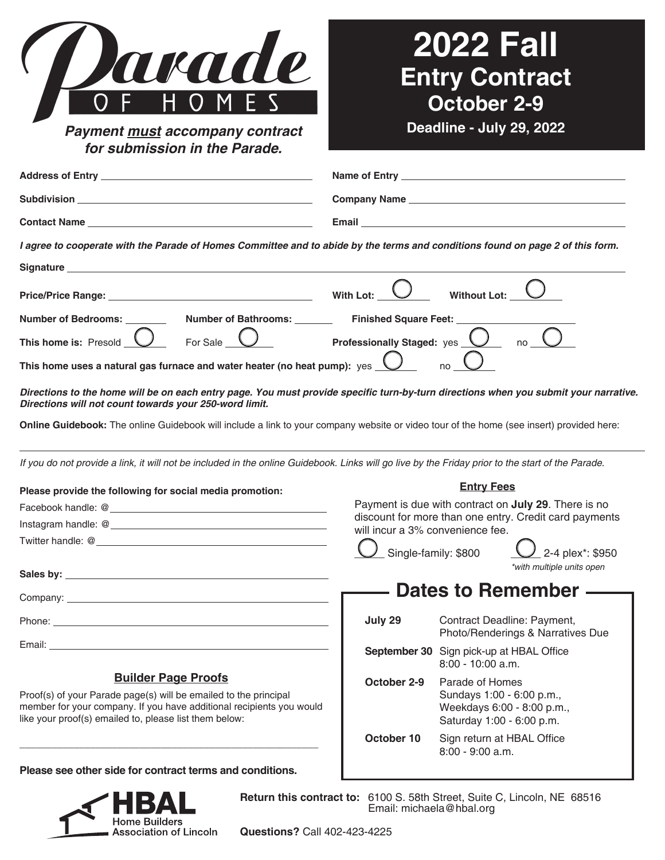| arade                                                                                                                                                                                                                                                                                                                                      |                                                                                                                | <b>2022 Fall</b>  | <b>Entry Contract</b>                                                                |  |
|--------------------------------------------------------------------------------------------------------------------------------------------------------------------------------------------------------------------------------------------------------------------------------------------------------------------------------------------|----------------------------------------------------------------------------------------------------------------|-------------------|--------------------------------------------------------------------------------------|--|
|                                                                                                                                                                                                                                                                                                                                            |                                                                                                                | October 2-9       |                                                                                      |  |
| Payment must accompany contract<br>for submission in the Parade.                                                                                                                                                                                                                                                                           |                                                                                                                |                   | Deadline - July 29, 2022                                                             |  |
|                                                                                                                                                                                                                                                                                                                                            |                                                                                                                |                   |                                                                                      |  |
|                                                                                                                                                                                                                                                                                                                                            |                                                                                                                |                   |                                                                                      |  |
|                                                                                                                                                                                                                                                                                                                                            |                                                                                                                |                   |                                                                                      |  |
| I agree to cooperate with the Parade of Homes Committee and to abide by the terms and conditions found on page 2 of this form.                                                                                                                                                                                                             |                                                                                                                |                   |                                                                                      |  |
|                                                                                                                                                                                                                                                                                                                                            |                                                                                                                |                   |                                                                                      |  |
|                                                                                                                                                                                                                                                                                                                                            |                                                                                                                | Without Lot: _    |                                                                                      |  |
| Price/Price Range: <u>Contract Communication</u> With Lot:                                                                                                                                                                                                                                                                                 |                                                                                                                |                   |                                                                                      |  |
| Number of Bathrooms: _________ Finished Square Feet: _____<br>Number of Bedrooms: _______                                                                                                                                                                                                                                                  |                                                                                                                |                   |                                                                                      |  |
| For Sale __<br>This home is: Presold                                                                                                                                                                                                                                                                                                       | $\overline{\bigcup}$ Professionally Staged: yes $\overline{\bigcup}$                                           |                   |                                                                                      |  |
| This home uses a natural gas furnace and water heater (no heat pump): $\,$ <code>yes</code> $\,\bigcup\,$                                                                                                                                                                                                                                  |                                                                                                                |                   |                                                                                      |  |
| Directions to the home will be on each entry page. You must provide specific turn-by-turn directions when you submit your narrative.<br>Directions will not count towards your 250-word limit.<br>Online Guidebook: The online Guidebook will include a link to your company website or video tour of the home (see insert) provided here: |                                                                                                                |                   |                                                                                      |  |
| If you do not provide a link, it will not be included in the online Guidebook. Links will go live by the Friday prior to the start of the Parade.                                                                                                                                                                                          |                                                                                                                |                   |                                                                                      |  |
| Please provide the following for social media promotion:                                                                                                                                                                                                                                                                                   | <b>Entry Fees</b>                                                                                              |                   |                                                                                      |  |
|                                                                                                                                                                                                                                                                                                                                            | Payment is due with contract on July 29. There is no<br>discount for more than one entry. Credit card payments |                   |                                                                                      |  |
|                                                                                                                                                                                                                                                                                                                                            | will incur a 3% convenience fee.                                                                               |                   |                                                                                      |  |
|                                                                                                                                                                                                                                                                                                                                            | Single-family: \$800                                                                                           |                   | 2-4 plex*: \$950<br>*with multiple units open                                        |  |
|                                                                                                                                                                                                                                                                                                                                            |                                                                                                                |                   |                                                                                      |  |
|                                                                                                                                                                                                                                                                                                                                            |                                                                                                                |                   | Dates to Remember —                                                                  |  |
|                                                                                                                                                                                                                                                                                                                                            | July 29                                                                                                        |                   | Contract Deadline: Payment,<br>Photo/Renderings & Narratives Due                     |  |
|                                                                                                                                                                                                                                                                                                                                            | September 30 Sign pick-up at HBAL Office                                                                       | 8:00 - 10:00 a.m. |                                                                                      |  |
| <b>Builder Page Proofs</b><br>Proof(s) of your Parade page(s) will be emailed to the principal<br>member for your company. If you have additional recipients you would<br>like your proof(s) emailed to, please list them below:                                                                                                           | October 2-9                                                                                                    | Parade of Homes   | Sundays 1:00 - 6:00 p.m.,<br>Weekdays 6:00 - 8:00 p.m.,<br>Saturday 1:00 - 6:00 p.m. |  |
|                                                                                                                                                                                                                                                                                                                                            | October 10                                                                                                     | 8:00 - 9:00 a.m.  | Sign return at HBAL Office                                                           |  |

**Please see other side for contract terms and conditions.**



**Return this contract to:** 6100 S. 58th Street, Suite C, Lincoln, NE 68516 Email: michaela@hbal.org